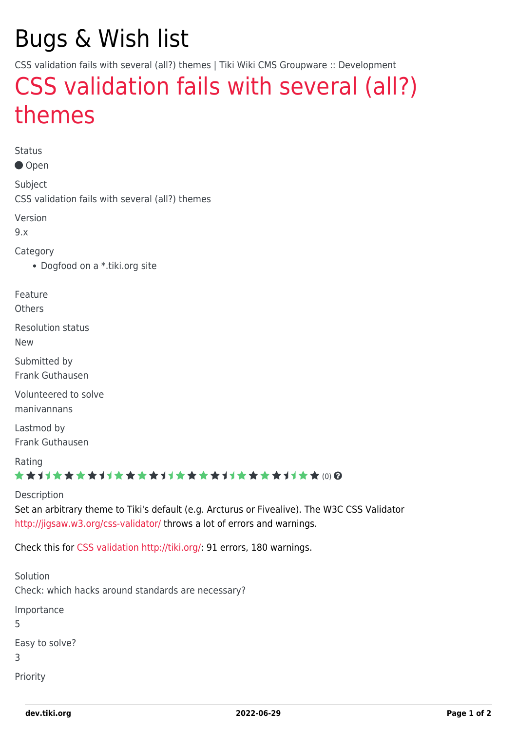# Bugs & Wish list

CSS validation fails with several (all?) themes | Tiki Wiki CMS Groupware :: Development

## [CSS validation fails with several \(all?\)](https://dev.tiki.org/item4337-CSS-validation-fails-with-several-all-themes) [themes](https://dev.tiki.org/item4337-CSS-validation-fails-with-several-all-themes)

Status

● Open

Subject CSS validation fails with several (all?) themes

Version

9.x

Category

Dogfood on a \*.tiki.org site

Feature

**Others** 

Resolution status

New

Submitted by Frank Guthausen

Volunteered to solve manivannans

Lastmod by Frank Guthausen

Rating

#### ★★オオ★★★★オオ★★★★オオ★★★★オオ★★★★オオ★★∞Q

Description

Set an arbitrary theme to Tiki's default (e.g. Arcturus or Fivealive). The W3C CSS Validator <http://jigsaw.w3.org/css-validator/> throws a lot of errors and warnings.

Check this for [CSS validation](http://jigsaw.w3.org/css-validator/validator?uri=http%3A%2F%2Ftiki.org%2F&profile=css3&usermedium=all&warning=1&vextwarning=&lang=en) <http://tiki.org/>: 91 errors, 180 warnings.

| Solution<br>Check: which hacks around standards are necessary? |
|----------------------------------------------------------------|
| Importance<br>5                                                |
| Easy to solve?<br>3                                            |
| Priority                                                       |